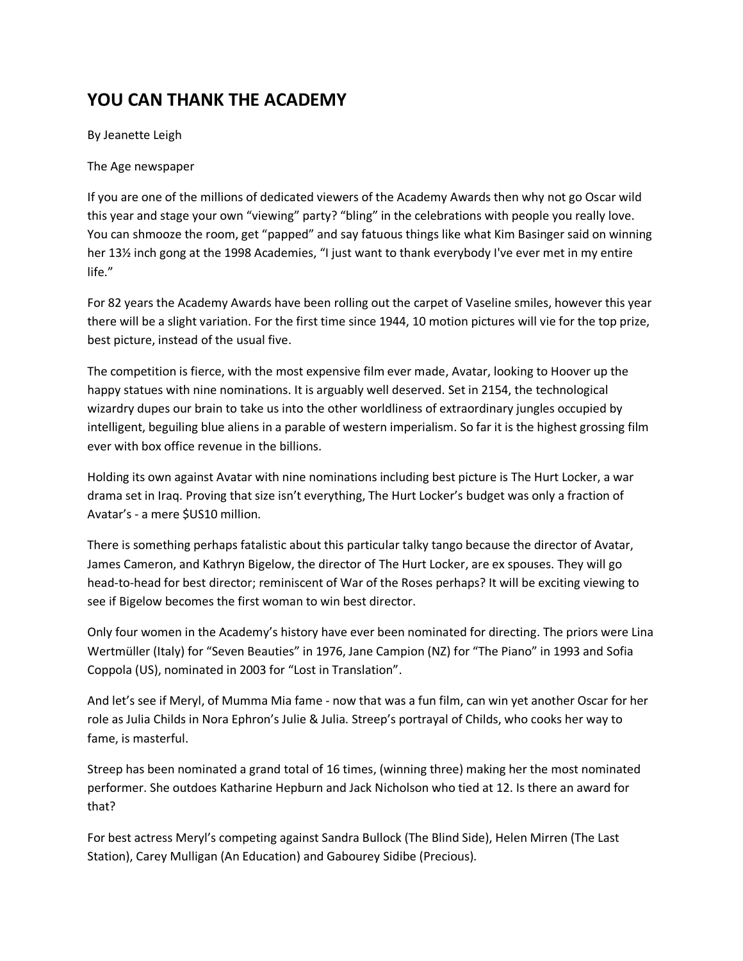## **YOU CAN THANK THE ACADEMY**

By Jeanette Leigh

The Age newspaper

If you are one of the millions of dedicated viewers of the Academy Awards then why not go Oscar wild this year and stage your own "viewing" party? "bling" in the celebrations with people you really love. You can shmooze the room, get "papped" and say fatuous things like what Kim Basinger said on winning her 13% inch gong at the 1998 Academies, "I just want to thank everybody I've ever met in my entire life."

For 82 years the Academy Awards have been rolling out the carpet of Vaseline smiles, however this year there will be a slight variation. For the first time since 1944, 10 motion pictures will vie for the top prize, best picture, instead of the usual five.

The competition is fierce, with the most expensive film ever made, Avatar, looking to Hoover up the happy statues with nine nominations. It is arguably well deserved. Set in 2154, the technological wizardry dupes our brain to take us into the other worldliness of extraordinary jungles occupied by intelligent, beguiling blue aliens in a parable of western imperialism. So far it is the highest grossing film ever with box office revenue in the billions.

Holding its own against Avatar with nine nominations including best picture is The Hurt Locker, a war drama set in Iraq. Proving that size isn't everything, The Hurt Locker's budget was only a fraction of Avatar's - a mere \$US10 million.

There is something perhaps fatalistic about this particular talky tango because the director of Avatar, James Cameron, and Kathryn Bigelow, the director of The Hurt Locker, are ex spouses. They will go head-to-head for best director; reminiscent of War of the Roses perhaps? It will be exciting viewing to see if Bigelow becomes the first woman to win best director.

Only four women in the Academy's history have ever been nominated for directing. The priors were Lina Wertmüller (Italy) for "Seven Beauties" in 1976, Jane Campion (NZ) for "The Piano" in 1993 and Sofia Coppola (US), nominated in 2003 for "Lost in Translation".

And let's see if Meryl, of Mumma Mia fame - now that was a fun film, can win yet another Oscar for her role as Julia Childs in Nora Ephron's Julie & Julia. Streep's portrayal of Childs, who cooks her way to fame, is masterful.

Streep has been nominated a grand total of 16 times, (winning three) making her the most nominated performer. She outdoes Katharine Hepburn and Jack Nicholson who tied at 12. Is there an award for that?

For best actress Meryl's competing against Sandra Bullock (The Blind Side), Helen Mirren (The Last Station), Carey Mulligan (An Education) and Gabourey Sidibe (Precious).